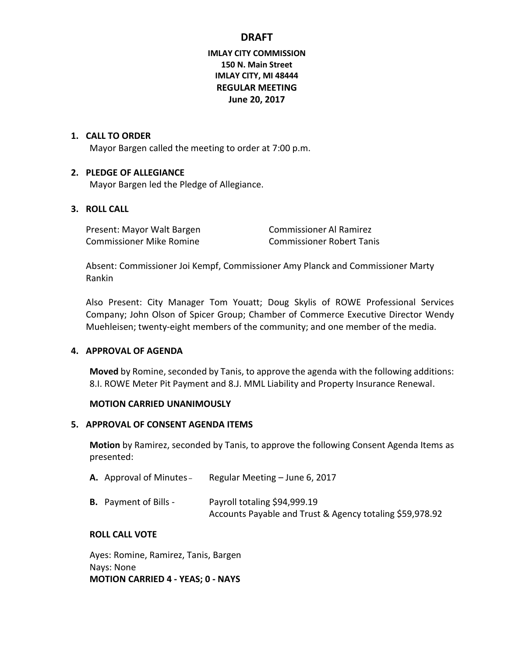# **IMLAY CITY COMMISSION 150 N. Main Street IMLAY CITY, MI 48444 REGULAR MEETING June 20, 2017**

### **1. CALL TO ORDER**

Mayor Bargen called the meeting to order at 7:00 p.m.

### **2. PLEDGE OF ALLEGIANCE**

Mayor Bargen led the Pledge of Allegiance.

### **3. ROLL CALL**

Present: Mayor Walt Bargen Commissioner Al Ramirez Commissioner Mike Romine Commissioner Robert Tanis

Absent: Commissioner Joi Kempf, Commissioner Amy Planck and Commissioner Marty Rankin

Also Present: City Manager Tom Youatt; Doug Skylis of ROWE Professional Services Company; John Olson of Spicer Group; Chamber of Commerce Executive Director Wendy Muehleisen; twenty-eight members of the community; and one member of the media.

#### **4. APPROVAL OF AGENDA**

**Moved** by Romine, seconded by Tanis, to approve the agenda with the following additions: 8.I. ROWE Meter Pit Payment and 8.J. MML Liability and Property Insurance Renewal.

#### **MOTION CARRIED UNANIMOUSLY**

### **5. APPROVAL OF CONSENT AGENDA ITEMS**

**Motion** by Ramirez, seconded by Tanis, to approve the following Consent Agenda Items as presented:

| <b>A.</b> Approval of Minutes – | Regular Meeting – June 6, 2017                                                           |
|---------------------------------|------------------------------------------------------------------------------------------|
| <b>B.</b> Payment of Bills -    | Payroll totaling \$94,999.19<br>Accounts Payable and Trust & Agency totaling \$59,978.92 |

#### **ROLL CALL VOTE**

Ayes: Romine, Ramirez, Tanis, Bargen Nays: None **MOTION CARRIED 4 - YEAS; 0 - NAYS**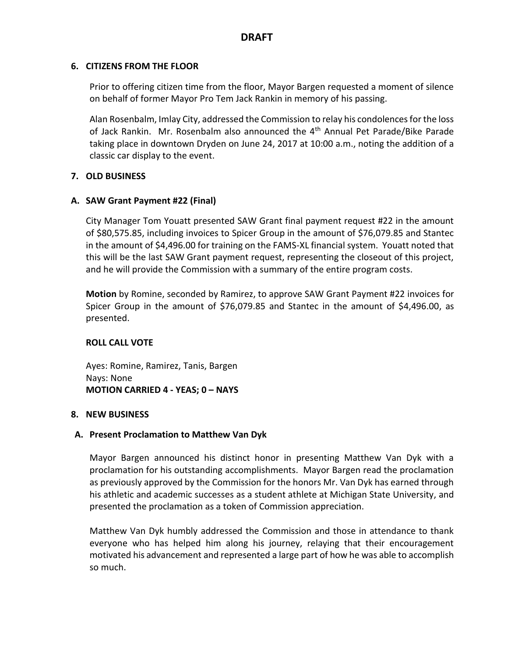## **6. CITIZENS FROM THE FLOOR**

Prior to offering citizen time from the floor, Mayor Bargen requested a moment of silence on behalf of former Mayor Pro Tem Jack Rankin in memory of his passing.

Alan Rosenbalm, Imlay City, addressed the Commission to relay his condolences for the loss of Jack Rankin. Mr. Rosenbalm also announced the 4<sup>th</sup> Annual Pet Parade/Bike Parade taking place in downtown Dryden on June 24, 2017 at 10:00 a.m., noting the addition of a classic car display to the event.

## **7. OLD BUSINESS**

# **A. SAW Grant Payment #22 (Final)**

City Manager Tom Youatt presented SAW Grant final payment request #22 in the amount of \$80,575.85, including invoices to Spicer Group in the amount of \$76,079.85 and Stantec in the amount of \$4,496.00 for training on the FAMS-XL financial system. Youatt noted that this will be the last SAW Grant payment request, representing the closeout of this project, and he will provide the Commission with a summary of the entire program costs.

**Motion** by Romine, seconded by Ramirez, to approve SAW Grant Payment #22 invoices for Spicer Group in the amount of \$76,079.85 and Stantec in the amount of \$4,496.00, as presented.

## **ROLL CALL VOTE**

Ayes: Romine, Ramirez, Tanis, Bargen Nays: None **MOTION CARRIED 4 - YEAS; 0 – NAYS**

## **8. NEW BUSINESS**

## **A. Present Proclamation to Matthew Van Dyk**

Mayor Bargen announced his distinct honor in presenting Matthew Van Dyk with a proclamation for his outstanding accomplishments. Mayor Bargen read the proclamation as previously approved by the Commission for the honors Mr. Van Dyk has earned through his athletic and academic successes as a student athlete at Michigan State University, and presented the proclamation as a token of Commission appreciation.

Matthew Van Dyk humbly addressed the Commission and those in attendance to thank everyone who has helped him along his journey, relaying that their encouragement motivated his advancement and represented a large part of how he was able to accomplish so much.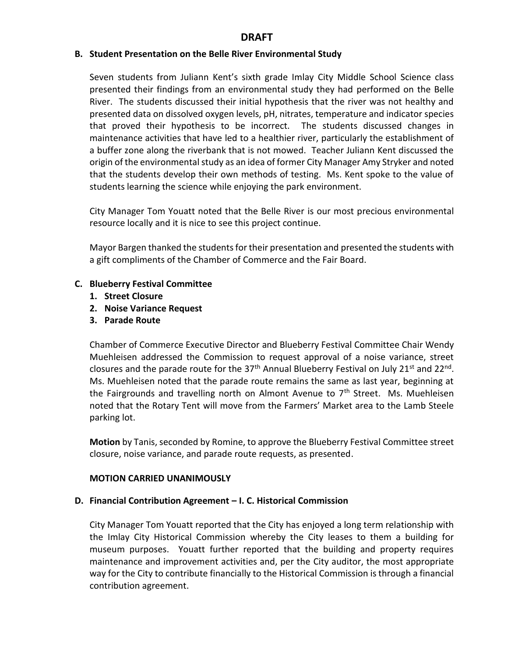### **B. Student Presentation on the Belle River Environmental Study**

Seven students from Juliann Kent's sixth grade Imlay City Middle School Science class presented their findings from an environmental study they had performed on the Belle River. The students discussed their initial hypothesis that the river was not healthy and presented data on dissolved oxygen levels, pH, nitrates, temperature and indicator species that proved their hypothesis to be incorrect. The students discussed changes in maintenance activities that have led to a healthier river, particularly the establishment of a buffer zone along the riverbank that is not mowed. Teacher Juliann Kent discussed the origin of the environmental study as an idea of former City Manager Amy Stryker and noted that the students develop their own methods of testing. Ms. Kent spoke to the value of students learning the science while enjoying the park environment.

City Manager Tom Youatt noted that the Belle River is our most precious environmental resource locally and it is nice to see this project continue.

Mayor Bargen thanked the students for their presentation and presented the students with a gift compliments of the Chamber of Commerce and the Fair Board.

### **C. Blueberry Festival Committee**

- **1. Street Closure**
- **2. Noise Variance Request**
- **3. Parade Route**

Chamber of Commerce Executive Director and Blueberry Festival Committee Chair Wendy Muehleisen addressed the Commission to request approval of a noise variance, street closures and the parade route for the 37<sup>th</sup> Annual Blueberry Festival on July 21<sup>st</sup> and 22<sup>nd</sup>. Ms. Muehleisen noted that the parade route remains the same as last year, beginning at the Fairgrounds and travelling north on Almont Avenue to  $7<sup>th</sup>$  Street. Ms. Muehleisen noted that the Rotary Tent will move from the Farmers' Market area to the Lamb Steele parking lot.

**Motion** by Tanis, seconded by Romine, to approve the Blueberry Festival Committee street closure, noise variance, and parade route requests, as presented.

#### **MOTION CARRIED UNANIMOUSLY**

#### **D. Financial Contribution Agreement – I. C. Historical Commission**

City Manager Tom Youatt reported that the City has enjoyed a long term relationship with the Imlay City Historical Commission whereby the City leases to them a building for museum purposes. Youatt further reported that the building and property requires maintenance and improvement activities and, per the City auditor, the most appropriate way for the City to contribute financially to the Historical Commission is through a financial contribution agreement.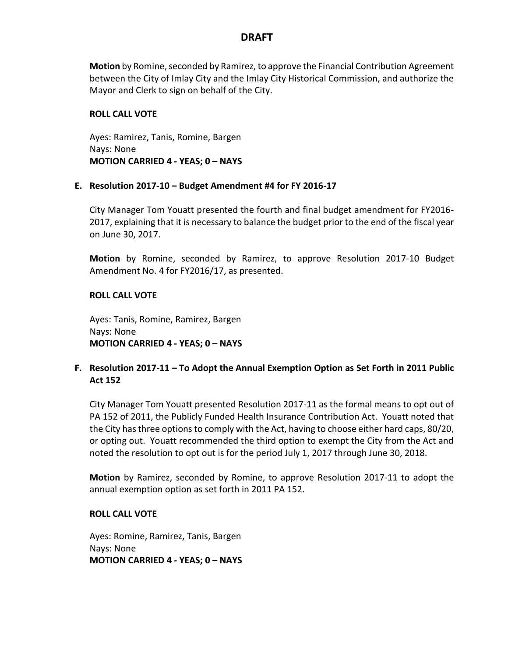**Motion** by Romine, seconded by Ramirez, to approve the Financial Contribution Agreement between the City of Imlay City and the Imlay City Historical Commission, and authorize the Mayor and Clerk to sign on behalf of the City.

## **ROLL CALL VOTE**

Ayes: Ramirez, Tanis, Romine, Bargen Nays: None **MOTION CARRIED 4 - YEAS; 0 – NAYS**

### **E. Resolution 2017-10 – Budget Amendment #4 for FY 2016-17**

City Manager Tom Youatt presented the fourth and final budget amendment for FY2016- 2017, explaining that it is necessary to balance the budget prior to the end of the fiscal year on June 30, 2017.

**Motion** by Romine, seconded by Ramirez, to approve Resolution 2017-10 Budget Amendment No. 4 for FY2016/17, as presented.

## **ROLL CALL VOTE**

Ayes: Tanis, Romine, Ramirez, Bargen Nays: None **MOTION CARRIED 4 - YEAS; 0 – NAYS**

## **F. Resolution 2017-11 – To Adopt the Annual Exemption Option as Set Forth in 2011 Public Act 152**

City Manager Tom Youatt presented Resolution 2017-11 as the formal means to opt out of PA 152 of 2011, the Publicly Funded Health Insurance Contribution Act. Youatt noted that the City has three options to comply with the Act, having to choose either hard caps, 80/20, or opting out. Youatt recommended the third option to exempt the City from the Act and noted the resolution to opt out is for the period July 1, 2017 through June 30, 2018.

**Motion** by Ramirez, seconded by Romine, to approve Resolution 2017-11 to adopt the annual exemption option as set forth in 2011 PA 152.

#### **ROLL CALL VOTE**

Ayes: Romine, Ramirez, Tanis, Bargen Nays: None **MOTION CARRIED 4 - YEAS; 0 – NAYS**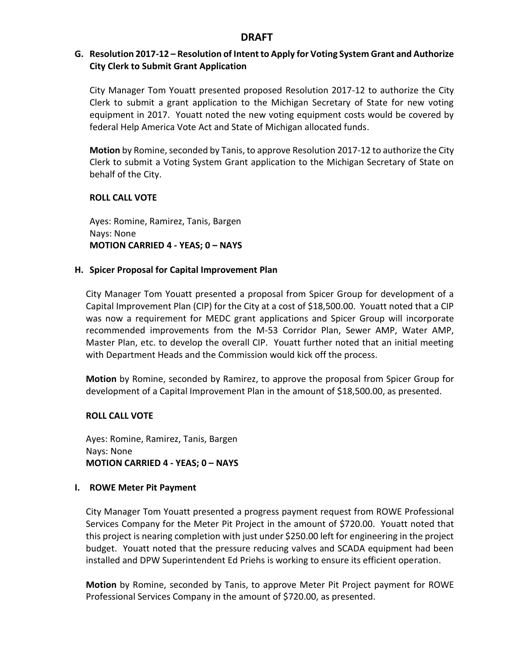# **G. Resolution 2017-12 – Resolution of Intent to Apply for Voting System Grant and Authorize City Clerk to Submit Grant Application**

City Manager Tom Youatt presented proposed Resolution 2017-12 to authorize the City Clerk to submit a grant application to the Michigan Secretary of State for new voting equipment in 2017. Youatt noted the new voting equipment costs would be covered by federal Help America Vote Act and State of Michigan allocated funds.

**Motion** by Romine, seconded by Tanis, to approve Resolution 2017-12 to authorize the City Clerk to submit a Voting System Grant application to the Michigan Secretary of State on behalf of the City.

### **ROLL CALL VOTE**

Ayes: Romine, Ramirez, Tanis, Bargen Nays: None **MOTION CARRIED 4 - YEAS; 0 – NAYS**

### **H. Spicer Proposal for Capital Improvement Plan**

City Manager Tom Youatt presented a proposal from Spicer Group for development of a Capital Improvement Plan (CIP) for the City at a cost of \$18,500.00. Youatt noted that a CIP was now a requirement for MEDC grant applications and Spicer Group will incorporate recommended improvements from the M-53 Corridor Plan, Sewer AMP, Water AMP, Master Plan, etc. to develop the overall CIP. Youatt further noted that an initial meeting with Department Heads and the Commission would kick off the process.

**Motion** by Romine, seconded by Ramirez, to approve the proposal from Spicer Group for development of a Capital Improvement Plan in the amount of \$18,500.00, as presented.

## **ROLL CALL VOTE**

Ayes: Romine, Ramirez, Tanis, Bargen Nays: None **MOTION CARRIED 4 - YEAS; 0 – NAYS**

#### **I. ROWE Meter Pit Payment**

City Manager Tom Youatt presented a progress payment request from ROWE Professional Services Company for the Meter Pit Project in the amount of \$720.00. Youatt noted that this project is nearing completion with just under \$250.00 left for engineering in the project budget. Youatt noted that the pressure reducing valves and SCADA equipment had been installed and DPW Superintendent Ed Priehs is working to ensure its efficient operation.

**Motion** by Romine, seconded by Tanis, to approve Meter Pit Project payment for ROWE Professional Services Company in the amount of \$720.00, as presented.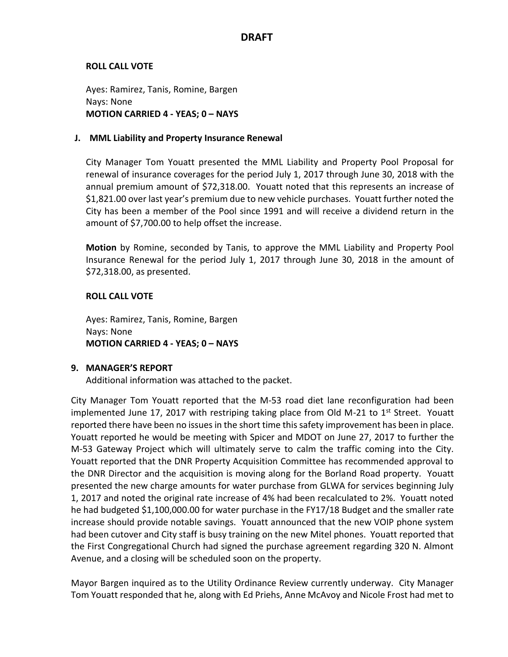## **ROLL CALL VOTE**

Ayes: Ramirez, Tanis, Romine, Bargen Nays: None **MOTION CARRIED 4 - YEAS; 0 – NAYS**

### **J. MML Liability and Property Insurance Renewal**

City Manager Tom Youatt presented the MML Liability and Property Pool Proposal for renewal of insurance coverages for the period July 1, 2017 through June 30, 2018 with the annual premium amount of \$72,318.00. Youatt noted that this represents an increase of \$1,821.00 over last year's premium due to new vehicle purchases. Youatt further noted the City has been a member of the Pool since 1991 and will receive a dividend return in the amount of \$7,700.00 to help offset the increase.

**Motion** by Romine, seconded by Tanis, to approve the MML Liability and Property Pool Insurance Renewal for the period July 1, 2017 through June 30, 2018 in the amount of \$72,318.00, as presented.

## **ROLL CALL VOTE**

Ayes: Ramirez, Tanis, Romine, Bargen Nays: None **MOTION CARRIED 4 - YEAS; 0 – NAYS**

## **9. MANAGER'S REPORT**

Additional information was attached to the packet.

City Manager Tom Youatt reported that the M-53 road diet lane reconfiguration had been implemented June 17, 2017 with restriping taking place from Old M-21 to  $1<sup>st</sup>$  Street. Youatt reported there have been no issues in the short time this safety improvement has been in place. Youatt reported he would be meeting with Spicer and MDOT on June 27, 2017 to further the M-53 Gateway Project which will ultimately serve to calm the traffic coming into the City. Youatt reported that the DNR Property Acquisition Committee has recommended approval to the DNR Director and the acquisition is moving along for the Borland Road property. Youatt presented the new charge amounts for water purchase from GLWA for services beginning July 1, 2017 and noted the original rate increase of 4% had been recalculated to 2%. Youatt noted he had budgeted \$1,100,000.00 for water purchase in the FY17/18 Budget and the smaller rate increase should provide notable savings. Youatt announced that the new VOIP phone system had been cutover and City staff is busy training on the new Mitel phones. Youatt reported that the First Congregational Church had signed the purchase agreement regarding 320 N. Almont Avenue, and a closing will be scheduled soon on the property.

Mayor Bargen inquired as to the Utility Ordinance Review currently underway. City Manager Tom Youatt responded that he, along with Ed Priehs, Anne McAvoy and Nicole Frost had met to